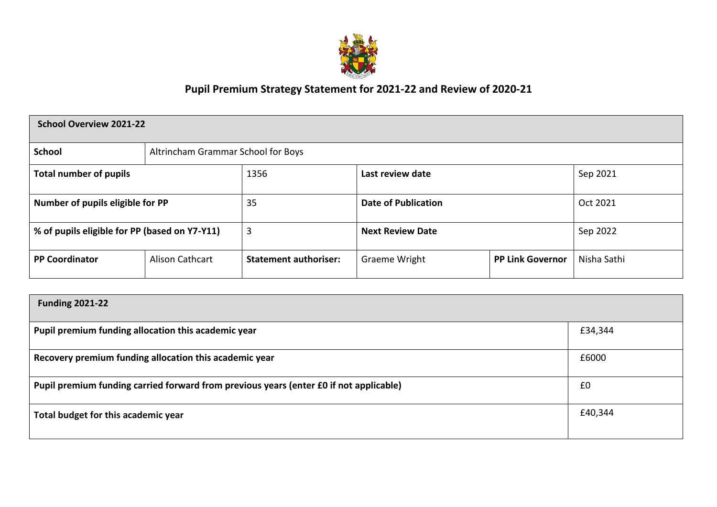

# **Pupil Premium Strategy Statement for 2021-22 and Review of 2020-21**

| <b>School Overview 2021-22</b>                |                                    |                              |                            |                         |             |  |  |
|-----------------------------------------------|------------------------------------|------------------------------|----------------------------|-------------------------|-------------|--|--|
| <b>School</b>                                 | Altrincham Grammar School for Boys |                              |                            |                         |             |  |  |
| <b>Total number of pupils</b>                 |                                    | 1356                         | Last review date           |                         | Sep 2021    |  |  |
| Number of pupils eligible for PP              |                                    | 35                           | <b>Date of Publication</b> |                         | Oct 2021    |  |  |
| % of pupils eligible for PP (based on Y7-Y11) |                                    | 3                            | <b>Next Review Date</b>    |                         | Sep 2022    |  |  |
| <b>PP Coordinator</b>                         | Alison Cathcart                    | <b>Statement authoriser:</b> | Graeme Wright              | <b>PP Link Governor</b> | Nisha Sathi |  |  |

| <b>Funding 2021-22</b>                                                                 |         |
|----------------------------------------------------------------------------------------|---------|
| Pupil premium funding allocation this academic year                                    | £34,344 |
| Recovery premium funding allocation this academic year                                 | £6000   |
| Pupil premium funding carried forward from previous years (enter £0 if not applicable) | £0      |
| Total budget for this academic year                                                    | £40,344 |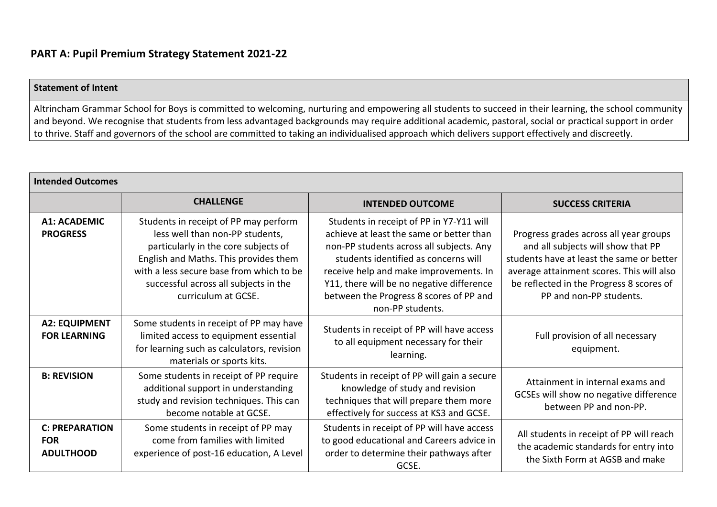#### **Statement of Intent**

Altrincham Grammar School for Boys is committed to welcoming, nurturing and empowering all students to succeed in their learning, the school community and beyond. We recognise that students from less advantaged backgrounds may require additional academic, pastoral, social or practical support in order to thrive. Staff and governors of the school are committed to taking an individualised approach which delivers support effectively and discreetly.

| <b>Intended Outcomes</b>                                |                                                                                                                                                                                                                                                                       |                                                                                                                                                                                                                                                                                                                                |                                                                                                                                                                                                                                               |  |  |  |
|---------------------------------------------------------|-----------------------------------------------------------------------------------------------------------------------------------------------------------------------------------------------------------------------------------------------------------------------|--------------------------------------------------------------------------------------------------------------------------------------------------------------------------------------------------------------------------------------------------------------------------------------------------------------------------------|-----------------------------------------------------------------------------------------------------------------------------------------------------------------------------------------------------------------------------------------------|--|--|--|
|                                                         | <b>CHALLENGE</b>                                                                                                                                                                                                                                                      | <b>INTENDED OUTCOME</b>                                                                                                                                                                                                                                                                                                        | <b>SUCCESS CRITERIA</b>                                                                                                                                                                                                                       |  |  |  |
| <b>A1: ACADEMIC</b><br><b>PROGRESS</b>                  | Students in receipt of PP may perform<br>less well than non-PP students,<br>particularly in the core subjects of<br>English and Maths. This provides them<br>with a less secure base from which to be<br>successful across all subjects in the<br>curriculum at GCSE. | Students in receipt of PP in Y7-Y11 will<br>achieve at least the same or better than<br>non-PP students across all subjects. Any<br>students identified as concerns will<br>receive help and make improvements. In<br>Y11, there will be no negative difference<br>between the Progress 8 scores of PP and<br>non-PP students. | Progress grades across all year groups<br>and all subjects will show that PP<br>students have at least the same or better<br>average attainment scores. This will also<br>be reflected in the Progress 8 scores of<br>PP and non-PP students. |  |  |  |
| <b>A2: EQUIPMENT</b><br><b>FOR LEARNING</b>             | Some students in receipt of PP may have<br>limited access to equipment essential<br>for learning such as calculators, revision<br>materials or sports kits.                                                                                                           | Students in receipt of PP will have access<br>to all equipment necessary for their<br>learning.                                                                                                                                                                                                                                | Full provision of all necessary<br>equipment.                                                                                                                                                                                                 |  |  |  |
| <b>B: REVISION</b>                                      | Some students in receipt of PP require<br>additional support in understanding<br>study and revision techniques. This can<br>become notable at GCSE.                                                                                                                   | Students in receipt of PP will gain a secure<br>knowledge of study and revision<br>techniques that will prepare them more<br>effectively for success at KS3 and GCSE.                                                                                                                                                          | Attainment in internal exams and<br>GCSEs will show no negative difference<br>between PP and non-PP.                                                                                                                                          |  |  |  |
| <b>C: PREPARATION</b><br><b>FOR</b><br><b>ADULTHOOD</b> | Some students in receipt of PP may<br>come from families with limited<br>experience of post-16 education, A Level                                                                                                                                                     | Students in receipt of PP will have access<br>to good educational and Careers advice in<br>order to determine their pathways after<br>GCSE.                                                                                                                                                                                    | All students in receipt of PP will reach<br>the academic standards for entry into<br>the Sixth Form at AGSB and make                                                                                                                          |  |  |  |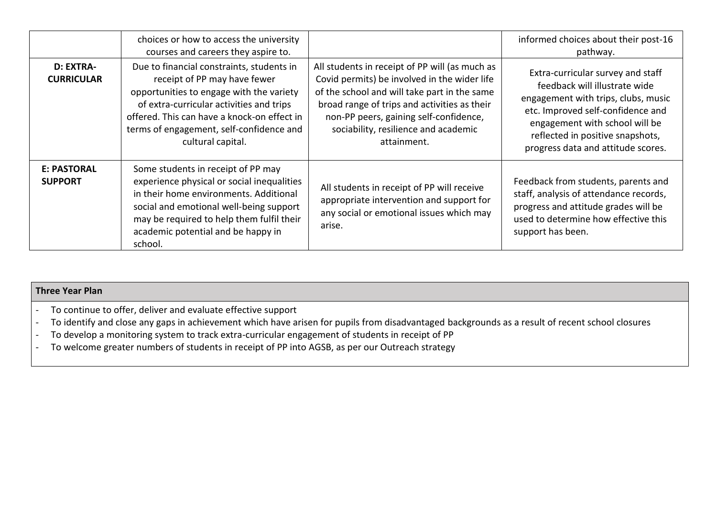|                                       | choices or how to access the university<br>courses and careers they aspire to.                                                                                                                                                                                                    |                                                                                                                                                                                                                                                                                                 | informed choices about their post-16<br>pathway.                                                                                                                                                                                                           |
|---------------------------------------|-----------------------------------------------------------------------------------------------------------------------------------------------------------------------------------------------------------------------------------------------------------------------------------|-------------------------------------------------------------------------------------------------------------------------------------------------------------------------------------------------------------------------------------------------------------------------------------------------|------------------------------------------------------------------------------------------------------------------------------------------------------------------------------------------------------------------------------------------------------------|
| <b>D: EXTRA-</b><br><b>CURRICULAR</b> | Due to financial constraints, students in<br>receipt of PP may have fewer<br>opportunities to engage with the variety<br>of extra-curricular activities and trips<br>offered. This can have a knock-on effect in<br>terms of engagement, self-confidence and<br>cultural capital. | All students in receipt of PP will (as much as<br>Covid permits) be involved in the wider life<br>of the school and will take part in the same<br>broad range of trips and activities as their<br>non-PP peers, gaining self-confidence,<br>sociability, resilience and academic<br>attainment. | Extra-curricular survey and staff<br>feedback will illustrate wide<br>engagement with trips, clubs, music<br>etc. Improved self-confidence and<br>engagement with school will be<br>reflected in positive snapshots,<br>progress data and attitude scores. |
| <b>E: PASTORAL</b><br><b>SUPPORT</b>  | Some students in receipt of PP may<br>experience physical or social inequalities<br>in their home environments. Additional<br>social and emotional well-being support<br>may be required to help them fulfil their<br>academic potential and be happy in<br>school.               | All students in receipt of PP will receive<br>appropriate intervention and support for<br>any social or emotional issues which may<br>arise.                                                                                                                                                    | Feedback from students, parents and<br>staff, analysis of attendance records,<br>progress and attitude grades will be<br>used to determine how effective this<br>support has been.                                                                         |

## **Three Year Plan**

- To continue to offer, deliver and evaluate effective support
- To identify and close any gaps in achievement which have arisen for pupils from disadvantaged backgrounds as a result of recent school closures
- To develop a monitoring system to track extra-curricular engagement of students in receipt of PP
- To welcome greater numbers of students in receipt of PP into AGSB, as per our Outreach strategy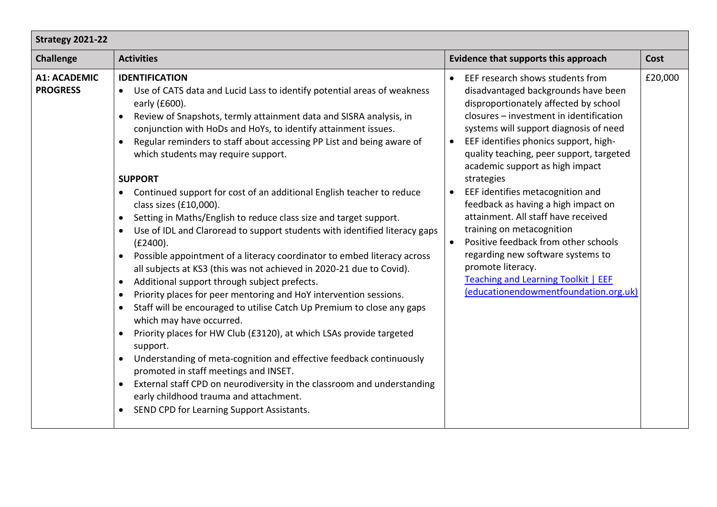| Strategy 2021-22                       |                                                                                                                                                                                                                                                                                                                                                                                                                                                                                                                                                                                                                                                                                                                                                                                                                                                                                                                                                                                                                                                                                                                                                                                                                                                                                                                                                                                                                                                                                                |                                                                                                                                                                                                                                                                                                                                                                                                                                                                                                                                                                                                                                                                                                                            |         |  |  |  |  |
|----------------------------------------|------------------------------------------------------------------------------------------------------------------------------------------------------------------------------------------------------------------------------------------------------------------------------------------------------------------------------------------------------------------------------------------------------------------------------------------------------------------------------------------------------------------------------------------------------------------------------------------------------------------------------------------------------------------------------------------------------------------------------------------------------------------------------------------------------------------------------------------------------------------------------------------------------------------------------------------------------------------------------------------------------------------------------------------------------------------------------------------------------------------------------------------------------------------------------------------------------------------------------------------------------------------------------------------------------------------------------------------------------------------------------------------------------------------------------------------------------------------------------------------------|----------------------------------------------------------------------------------------------------------------------------------------------------------------------------------------------------------------------------------------------------------------------------------------------------------------------------------------------------------------------------------------------------------------------------------------------------------------------------------------------------------------------------------------------------------------------------------------------------------------------------------------------------------------------------------------------------------------------------|---------|--|--|--|--|
| <b>Challenge</b>                       | <b>Activities</b>                                                                                                                                                                                                                                                                                                                                                                                                                                                                                                                                                                                                                                                                                                                                                                                                                                                                                                                                                                                                                                                                                                                                                                                                                                                                                                                                                                                                                                                                              | Evidence that supports this approach                                                                                                                                                                                                                                                                                                                                                                                                                                                                                                                                                                                                                                                                                       | Cost    |  |  |  |  |
| <b>A1: ACADEMIC</b><br><b>PROGRESS</b> | <b>IDENTIFICATION</b><br>Use of CATS data and Lucid Lass to identify potential areas of weakness<br>$\bullet$<br>early (£600).<br>Review of Snapshots, termly attainment data and SISRA analysis, in<br>$\bullet$<br>conjunction with HoDs and HoYs, to identify attainment issues.<br>Regular reminders to staff about accessing PP List and being aware of<br>which students may require support.<br><b>SUPPORT</b><br>Continued support for cost of an additional English teacher to reduce<br>$\bullet$<br>class sizes (£10,000).<br>Setting in Maths/English to reduce class size and target support.<br>$\bullet$<br>Use of IDL and Claroread to support students with identified literacy gaps<br>(E2400).<br>Possible appointment of a literacy coordinator to embed literacy across<br>all subjects at KS3 (this was not achieved in 2020-21 due to Covid).<br>Additional support through subject prefects.<br>$\bullet$<br>Priority places for peer mentoring and HoY intervention sessions.<br>Staff will be encouraged to utilise Catch Up Premium to close any gaps<br>$\bullet$<br>which may have occurred.<br>Priority places for HW Club (£3120), at which LSAs provide targeted<br>support.<br>Understanding of meta-cognition and effective feedback continuously<br>promoted in staff meetings and INSET.<br>External staff CPD on neurodiversity in the classroom and understanding<br>early childhood trauma and attachment.<br>SEND CPD for Learning Support Assistants. | EEF research shows students from<br>disadvantaged backgrounds have been<br>disproportionately affected by school<br>closures - investment in identification<br>systems will support diagnosis of need<br>EEF identifies phonics support, high-<br>$\bullet$<br>quality teaching, peer support, targeted<br>academic support as high impact<br>strategies<br>EEF identifies metacognition and<br>$\bullet$<br>feedback as having a high impact on<br>attainment. All staff have received<br>training on metacognition<br>Positive feedback from other schools<br>$\bullet$<br>regarding new software systems to<br>promote literacy.<br><b>Teaching and Learning Toolkit   EEF</b><br>(educationendowmentfoundation.org.uk) | £20,000 |  |  |  |  |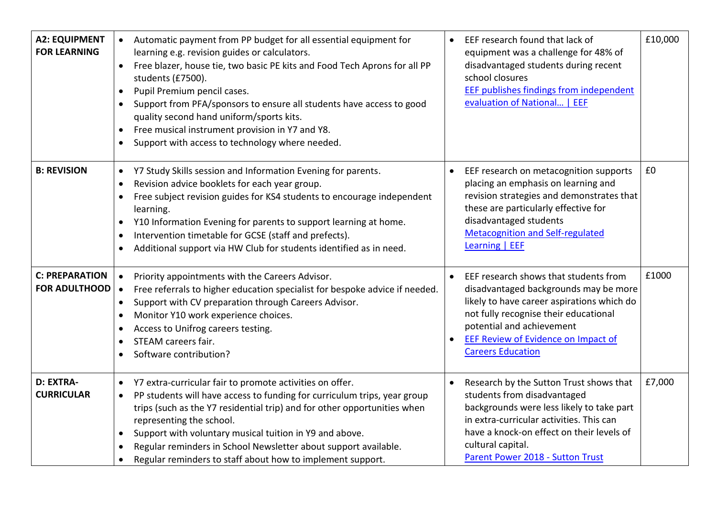| <b>A2: EQUIPMENT</b><br><b>FOR LEARNING</b>   | Automatic payment from PP budget for all essential equipment for<br>$\bullet$<br>learning e.g. revision guides or calculators.<br>Free blazer, house tie, two basic PE kits and Food Tech Aprons for all PP<br>$\bullet$<br>students (£7500).<br>Pupil Premium pencil cases.<br>$\bullet$<br>Support from PFA/sponsors to ensure all students have access to good<br>$\bullet$<br>quality second hand uniform/sports kits.<br>Free musical instrument provision in Y7 and Y8.<br>$\bullet$<br>Support with access to technology where needed. | £10,000<br>EEF research found that lack of<br>equipment was a challenge for 48% of<br>disadvantaged students during recent<br>school closures<br><b>EEF publishes findings from independent</b><br>evaluation of National   EEF                                                 |
|-----------------------------------------------|-----------------------------------------------------------------------------------------------------------------------------------------------------------------------------------------------------------------------------------------------------------------------------------------------------------------------------------------------------------------------------------------------------------------------------------------------------------------------------------------------------------------------------------------------|---------------------------------------------------------------------------------------------------------------------------------------------------------------------------------------------------------------------------------------------------------------------------------|
| <b>B: REVISION</b>                            | Y7 Study Skills session and Information Evening for parents.<br>$\bullet$<br>Revision advice booklets for each year group.<br>$\bullet$<br>Free subject revision guides for KS4 students to encourage independent<br>learning.<br>Y10 Information Evening for parents to support learning at home.<br>$\bullet$<br>Intervention timetable for GCSE (staff and prefects).<br>$\bullet$<br>Additional support via HW Club for students identified as in need.                                                                                   | £0<br>EEF research on metacognition supports<br>placing an emphasis on learning and<br>revision strategies and demonstrates that<br>these are particularly effective for<br>disadvantaged students<br><b>Metacognition and Self-regulated</b><br>Learning   EEF                 |
| <b>C: PREPARATION</b><br><b>FOR ADULTHOOD</b> | Priority appointments with the Careers Advisor.<br>$\bullet$<br>Free referrals to higher education specialist for bespoke advice if needed.<br>$\bullet$<br>Support with CV preparation through Careers Advisor.<br>$\bullet$<br>Monitor Y10 work experience choices.<br>Access to Unifrog careers testing.<br>٠<br>STEAM careers fair.<br>$\bullet$<br>Software contribution?                                                                                                                                                                | £1000<br>EEF research shows that students from<br>disadvantaged backgrounds may be more<br>likely to have career aspirations which do<br>not fully recognise their educational<br>potential and achievement<br>EEF Review of Evidence on Impact of<br><b>Careers Education</b>  |
| D: EXTRA-<br><b>CURRICULAR</b>                | Y7 extra-curricular fair to promote activities on offer.<br>$\bullet$<br>PP students will have access to funding for curriculum trips, year group<br>$\bullet$<br>trips (such as the Y7 residential trip) and for other opportunities when<br>representing the school.<br>Support with voluntary musical tuition in Y9 and above.<br>$\bullet$<br>Regular reminders in School Newsletter about support available.<br>$\bullet$<br>Regular reminders to staff about how to implement support.<br>$\bullet$                                     | £7,000<br>Research by the Sutton Trust shows that<br>students from disadvantaged<br>backgrounds were less likely to take part<br>in extra-curricular activities. This can<br>have a knock-on effect on their levels of<br>cultural capital.<br>Parent Power 2018 - Sutton Trust |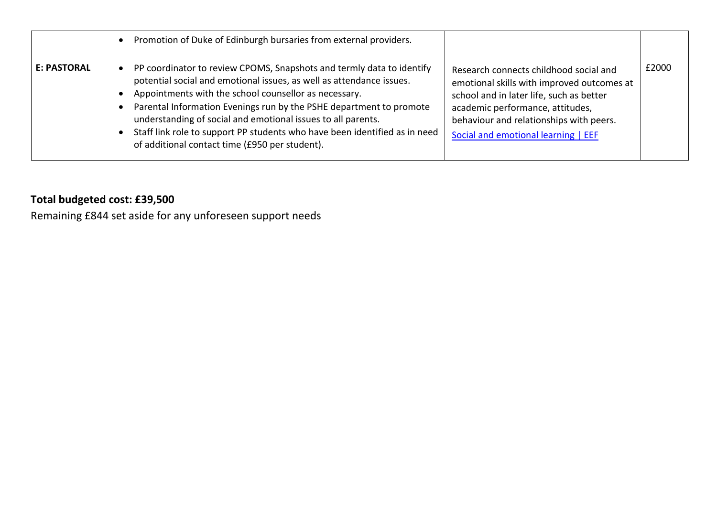|             | Promotion of Duke of Edinburgh bursaries from external providers.                                                                                                                                                                                                                                                                                                                                                                                                             |                                                                                                                                                                                                                                                        |       |
|-------------|-------------------------------------------------------------------------------------------------------------------------------------------------------------------------------------------------------------------------------------------------------------------------------------------------------------------------------------------------------------------------------------------------------------------------------------------------------------------------------|--------------------------------------------------------------------------------------------------------------------------------------------------------------------------------------------------------------------------------------------------------|-------|
| E: PASTORAL | PP coordinator to review CPOMS, Snapshots and termly data to identify<br>potential social and emotional issues, as well as attendance issues.<br>Appointments with the school counsellor as necessary.<br>Parental Information Evenings run by the PSHE department to promote<br>understanding of social and emotional issues to all parents.<br>Staff link role to support PP students who have been identified as in need<br>of additional contact time (£950 per student). | Research connects childhood social and<br>emotional skills with improved outcomes at<br>school and in later life, such as better<br>academic performance, attitudes,<br>behaviour and relationships with peers.<br>Social and emotional learning   EEF | £2000 |

# **Total budgeted cost: £39,500**

Remaining £844 set aside for any unforeseen support needs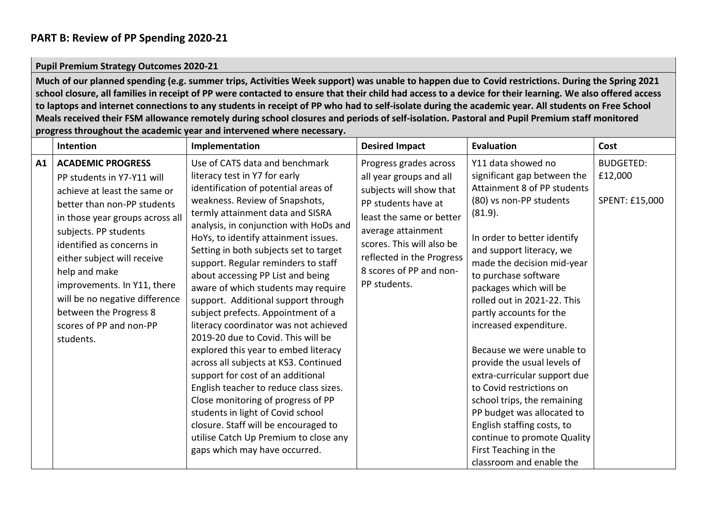# **PART B: Review of PP Spending 2020-21**

### **Pupil Premium Strategy Outcomes 2020-21**

**Much of our planned spending (e.g. summer trips, Activities Week support) was unable to happen due to Covid restrictions. During the Spring 2021 school closure, all families in receipt of PP were contacted to ensure that their child had access to a device for their learning. We also offered access to laptops and internet connections to any students in receipt of PP who had to self-isolate during the academic year. All students on Free School Meals received their FSM allowance remotely during school closures and periods of self-isolation. Pastoral and Pupil Premium staff monitored progress throughout the academic year and intervened where necessary.** 

|    | Intention                                                                                                                                                                                                                                                                                                                                                             | Implementation                                                                                                                                                                                                                                                                                                                                                                                                                                                                                                                                                                                                                                                                                                                                                                                                                                                                     | <b>Desired Impact</b>                                                                                                                                                                                                            | <b>Evaluation</b>                                                                                                                                                                                                                                                                                                                                                                                                                                                                                                                                                                 | Cost                      |
|----|-----------------------------------------------------------------------------------------------------------------------------------------------------------------------------------------------------------------------------------------------------------------------------------------------------------------------------------------------------------------------|------------------------------------------------------------------------------------------------------------------------------------------------------------------------------------------------------------------------------------------------------------------------------------------------------------------------------------------------------------------------------------------------------------------------------------------------------------------------------------------------------------------------------------------------------------------------------------------------------------------------------------------------------------------------------------------------------------------------------------------------------------------------------------------------------------------------------------------------------------------------------------|----------------------------------------------------------------------------------------------------------------------------------------------------------------------------------------------------------------------------------|-----------------------------------------------------------------------------------------------------------------------------------------------------------------------------------------------------------------------------------------------------------------------------------------------------------------------------------------------------------------------------------------------------------------------------------------------------------------------------------------------------------------------------------------------------------------------------------|---------------------------|
| A1 | <b>ACADEMIC PROGRESS</b>                                                                                                                                                                                                                                                                                                                                              | Use of CATS data and benchmark                                                                                                                                                                                                                                                                                                                                                                                                                                                                                                                                                                                                                                                                                                                                                                                                                                                     | Progress grades across                                                                                                                                                                                                           | Y11 data showed no                                                                                                                                                                                                                                                                                                                                                                                                                                                                                                                                                                | <b>BUDGETED:</b>          |
|    | PP students in Y7-Y11 will<br>achieve at least the same or<br>better than non-PP students<br>in those year groups across all<br>subjects. PP students<br>identified as concerns in<br>either subject will receive<br>help and make<br>improvements. In Y11, there<br>will be no negative difference<br>between the Progress 8<br>scores of PP and non-PP<br>students. | literacy test in Y7 for early<br>identification of potential areas of<br>weakness. Review of Snapshots,<br>termly attainment data and SISRA<br>analysis, in conjunction with HoDs and<br>HoYs, to identify attainment issues.<br>Setting in both subjects set to target<br>support. Regular reminders to staff<br>about accessing PP List and being<br>aware of which students may require<br>support. Additional support through<br>subject prefects. Appointment of a<br>literacy coordinator was not achieved<br>2019-20 due to Covid. This will be<br>explored this year to embed literacy<br>across all subjects at KS3. Continued<br>support for cost of an additional<br>English teacher to reduce class sizes.<br>Close monitoring of progress of PP<br>students in light of Covid school<br>closure. Staff will be encouraged to<br>utilise Catch Up Premium to close any | all year groups and all<br>subjects will show that<br>PP students have at<br>least the same or better<br>average attainment<br>scores. This will also be<br>reflected in the Progress<br>8 scores of PP and non-<br>PP students. | significant gap between the<br>Attainment 8 of PP students<br>(80) vs non-PP students<br>(81.9).<br>In order to better identify<br>and support literacy, we<br>made the decision mid-year<br>to purchase software<br>packages which will be<br>rolled out in 2021-22. This<br>partly accounts for the<br>increased expenditure.<br>Because we were unable to<br>provide the usual levels of<br>extra-curricular support due<br>to Covid restrictions on<br>school trips, the remaining<br>PP budget was allocated to<br>English staffing costs, to<br>continue to promote Quality | £12,000<br>SPENT: £15,000 |
|    |                                                                                                                                                                                                                                                                                                                                                                       | gaps which may have occurred.                                                                                                                                                                                                                                                                                                                                                                                                                                                                                                                                                                                                                                                                                                                                                                                                                                                      |                                                                                                                                                                                                                                  | First Teaching in the<br>classroom and enable the                                                                                                                                                                                                                                                                                                                                                                                                                                                                                                                                 |                           |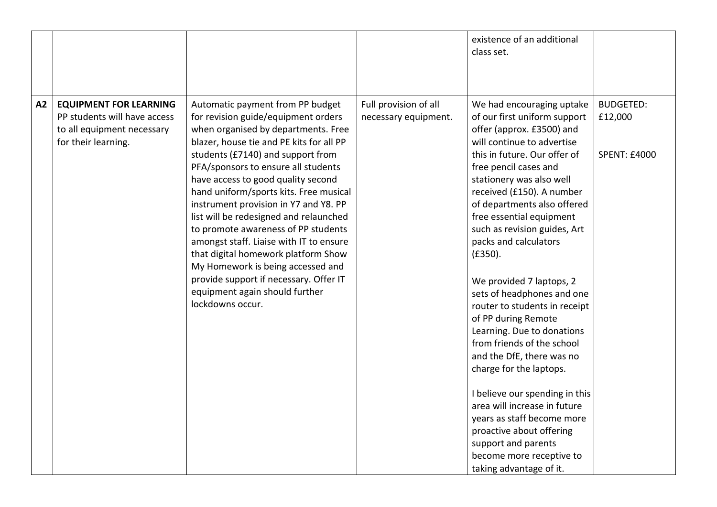|                           |                                                                                             |                                                                                                                                                                                                                                                                                                                                                                                                                                                                                                                                                                                                                                                                         |                                               | existence of an additional<br>class set.                                                                                                                                                                                                                                                                                                                                                                                                                                                                                                                                                                                                                                                                                                                                                                              |                                                    |
|---------------------------|---------------------------------------------------------------------------------------------|-------------------------------------------------------------------------------------------------------------------------------------------------------------------------------------------------------------------------------------------------------------------------------------------------------------------------------------------------------------------------------------------------------------------------------------------------------------------------------------------------------------------------------------------------------------------------------------------------------------------------------------------------------------------------|-----------------------------------------------|-----------------------------------------------------------------------------------------------------------------------------------------------------------------------------------------------------------------------------------------------------------------------------------------------------------------------------------------------------------------------------------------------------------------------------------------------------------------------------------------------------------------------------------------------------------------------------------------------------------------------------------------------------------------------------------------------------------------------------------------------------------------------------------------------------------------------|----------------------------------------------------|
| A2<br>for their learning. | <b>EQUIPMENT FOR LEARNING</b><br>PP students will have access<br>to all equipment necessary | Automatic payment from PP budget<br>for revision guide/equipment orders<br>when organised by departments. Free<br>blazer, house tie and PE kits for all PP<br>students (£7140) and support from<br>PFA/sponsors to ensure all students<br>have access to good quality second<br>hand uniform/sports kits. Free musical<br>instrument provision in Y7 and Y8. PP<br>list will be redesigned and relaunched<br>to promote awareness of PP students<br>amongst staff. Liaise with IT to ensure<br>that digital homework platform Show<br>My Homework is being accessed and<br>provide support if necessary. Offer IT<br>equipment again should further<br>lockdowns occur. | Full provision of all<br>necessary equipment. | We had encouraging uptake<br>of our first uniform support<br>offer (approx. £3500) and<br>will continue to advertise<br>this in future. Our offer of<br>free pencil cases and<br>stationery was also well<br>received (£150). A number<br>of departments also offered<br>free essential equipment<br>such as revision guides, Art<br>packs and calculators<br>(E350).<br>We provided 7 laptops, 2<br>sets of headphones and one<br>router to students in receipt<br>of PP during Remote<br>Learning. Due to donations<br>from friends of the school<br>and the DfE, there was no<br>charge for the laptops.<br>I believe our spending in this<br>area will increase in future<br>years as staff become more<br>proactive about offering<br>support and parents<br>become more receptive to<br>taking advantage of it. | <b>BUDGETED:</b><br>£12,000<br><b>SPENT: £4000</b> |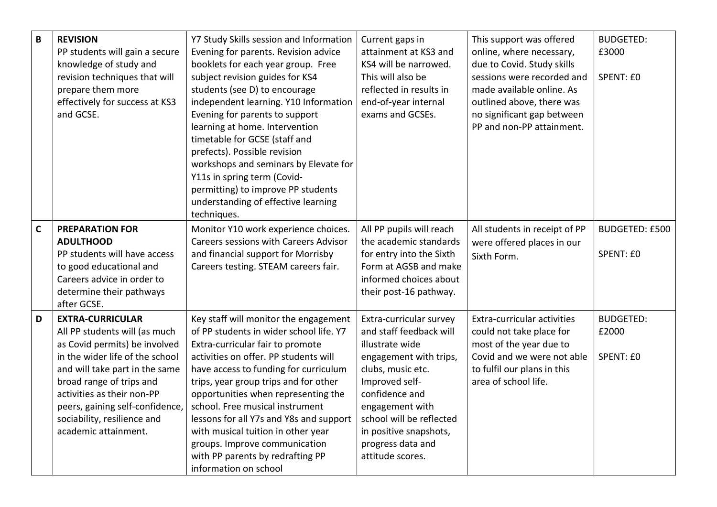| $\mathbf B$ | <b>REVISION</b><br>PP students will gain a secure<br>knowledge of study and<br>revision techniques that will                                                                                                                                                                                                       | Y7 Study Skills session and Information<br>Evening for parents. Revision advice<br>booklets for each year group. Free<br>subject revision guides for KS4                                                                                                                                                                                                                                                                                                                                                 | Current gaps in<br>attainment at KS3 and<br>KS4 will be narrowed.<br>This will also be                                                                                                                                                                                     | This support was offered<br>online, where necessary,<br>due to Covid. Study skills<br>sessions were recorded and                                                               | <b>BUDGETED:</b><br>£3000<br>SPENT: £0 |
|-------------|--------------------------------------------------------------------------------------------------------------------------------------------------------------------------------------------------------------------------------------------------------------------------------------------------------------------|----------------------------------------------------------------------------------------------------------------------------------------------------------------------------------------------------------------------------------------------------------------------------------------------------------------------------------------------------------------------------------------------------------------------------------------------------------------------------------------------------------|----------------------------------------------------------------------------------------------------------------------------------------------------------------------------------------------------------------------------------------------------------------------------|--------------------------------------------------------------------------------------------------------------------------------------------------------------------------------|----------------------------------------|
|             | prepare them more<br>effectively for success at KS3<br>and GCSE.                                                                                                                                                                                                                                                   | students (see D) to encourage<br>independent learning. Y10 Information<br>Evening for parents to support<br>learning at home. Intervention<br>timetable for GCSE (staff and<br>prefects). Possible revision<br>workshops and seminars by Elevate for<br>Y11s in spring term (Covid-<br>permitting) to improve PP students<br>understanding of effective learning<br>techniques.                                                                                                                          | reflected in results in<br>end-of-year internal<br>exams and GCSEs.                                                                                                                                                                                                        | made available online. As<br>outlined above, there was<br>no significant gap between<br>PP and non-PP attainment.                                                              |                                        |
| $\mathbf c$ | <b>PREPARATION FOR</b><br><b>ADULTHOOD</b><br>PP students will have access<br>to good educational and<br>Careers advice in order to<br>determine their pathways<br>after GCSE.                                                                                                                                     | Monitor Y10 work experience choices.<br><b>Careers sessions with Careers Advisor</b><br>and financial support for Morrisby<br>Careers testing. STEAM careers fair.                                                                                                                                                                                                                                                                                                                                       | All PP pupils will reach<br>the academic standards<br>for entry into the Sixth<br>Form at AGSB and make<br>informed choices about<br>their post-16 pathway.                                                                                                                | All students in receipt of PP<br>were offered places in our<br>Sixth Form.                                                                                                     | <b>BUDGETED: £500</b><br>SPENT: £0     |
| D           | <b>EXTRA-CURRICULAR</b><br>All PP students will (as much<br>as Covid permits) be involved<br>in the wider life of the school<br>and will take part in the same<br>broad range of trips and<br>activities as their non-PP<br>peers, gaining self-confidence,<br>sociability, resilience and<br>academic attainment. | Key staff will monitor the engagement<br>of PP students in wider school life. Y7<br>Extra-curricular fair to promote<br>activities on offer. PP students will<br>have access to funding for curriculum<br>trips, year group trips and for other<br>opportunities when representing the<br>school. Free musical instrument<br>lessons for all Y7s and Y8s and support<br>with musical tuition in other year<br>groups. Improve communication<br>with PP parents by redrafting PP<br>information on school | Extra-curricular survey<br>and staff feedback will<br>illustrate wide<br>engagement with trips,<br>clubs, music etc.<br>Improved self-<br>confidence and<br>engagement with<br>school will be reflected<br>in positive snapshots,<br>progress data and<br>attitude scores. | <b>Extra-curricular activities</b><br>could not take place for<br>most of the year due to<br>Covid and we were not able<br>to fulfil our plans in this<br>area of school life. | <b>BUDGETED:</b><br>£2000<br>SPENT: £0 |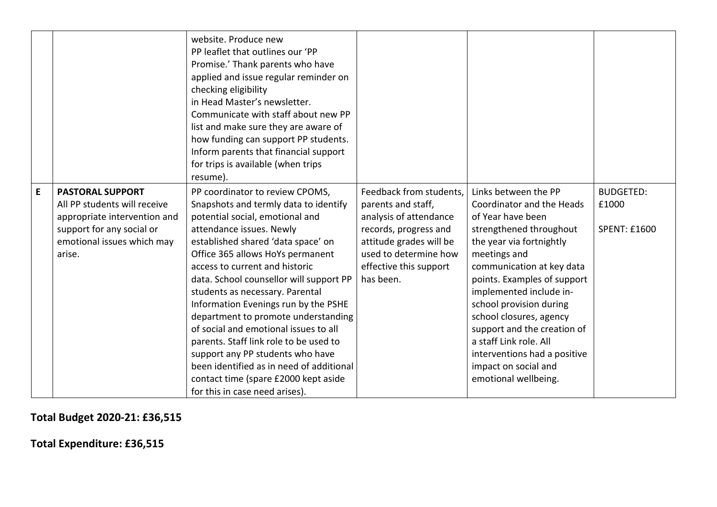|   |                                                                                                                                                              | website. Produce new<br>PP leaflet that outlines our 'PP<br>Promise.' Thank parents who have<br>applied and issue regular reminder on<br>checking eligibility<br>in Head Master's newsletter.<br>Communicate with staff about new PP<br>list and make sure they are aware of<br>how funding can support PP students.<br>Inform parents that financial support<br>for trips is available (when trips<br>resume).                                                                                                                                                                                                                                               |                                                                                                                                                                                             |                                                                                                                                                                                                                                                                                                                                                                                                                                     |                                                  |
|---|--------------------------------------------------------------------------------------------------------------------------------------------------------------|---------------------------------------------------------------------------------------------------------------------------------------------------------------------------------------------------------------------------------------------------------------------------------------------------------------------------------------------------------------------------------------------------------------------------------------------------------------------------------------------------------------------------------------------------------------------------------------------------------------------------------------------------------------|---------------------------------------------------------------------------------------------------------------------------------------------------------------------------------------------|-------------------------------------------------------------------------------------------------------------------------------------------------------------------------------------------------------------------------------------------------------------------------------------------------------------------------------------------------------------------------------------------------------------------------------------|--------------------------------------------------|
| E | <b>PASTORAL SUPPORT</b><br>All PP students will receive<br>appropriate intervention and<br>support for any social or<br>emotional issues which may<br>arise. | PP coordinator to review CPOMS,<br>Snapshots and termly data to identify<br>potential social, emotional and<br>attendance issues. Newly<br>established shared 'data space' on<br>Office 365 allows HoYs permanent<br>access to current and historic<br>data. School counsellor will support PP<br>students as necessary. Parental<br>Information Evenings run by the PSHE<br>department to promote understanding<br>of social and emotional issues to all<br>parents. Staff link role to be used to<br>support any PP students who have<br>been identified as in need of additional<br>contact time (spare £2000 kept aside<br>for this in case need arises). | Feedback from students,<br>parents and staff,<br>analysis of attendance<br>records, progress and<br>attitude grades will be<br>used to determine how<br>effective this support<br>has been. | Links between the PP<br>Coordinator and the Heads<br>of Year have been<br>strengthened throughout<br>the year via fortnightly<br>meetings and<br>communication at key data<br>points. Examples of support<br>implemented include in-<br>school provision during<br>school closures, agency<br>support and the creation of<br>a staff Link role. All<br>interventions had a positive<br>impact on social and<br>emotional wellbeing. | <b>BUDGETED:</b><br>£1000<br><b>SPENT: £1600</b> |

**Total Budget 2020-21: £36,515**

**Total Expenditure: £36,515**